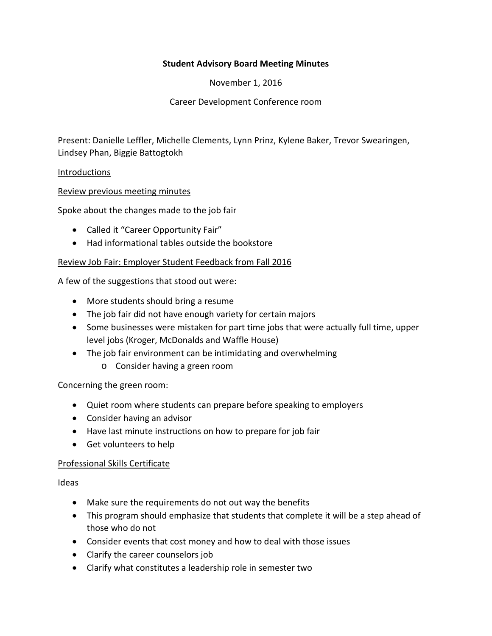# **Student Advisory Board Meeting Minutes**

November 1, 2016

Career Development Conference room

Present: Danielle Leffler, Michelle Clements, Lynn Prinz, Kylene Baker, Trevor Swearingen, Lindsey Phan, Biggie Battogtokh

#### **Introductions**

# Review previous meeting minutes

Spoke about the changes made to the job fair

- Called it "Career Opportunity Fair"
- Had informational tables outside the bookstore

# Review Job Fair: Employer Student Feedback from Fall 2016

A few of the suggestions that stood out were:

- More students should bring a resume
- The job fair did not have enough variety for certain majors
- Some businesses were mistaken for part time jobs that were actually full time, upper level jobs (Kroger, McDonalds and Waffle House)
- The job fair environment can be intimidating and overwhelming
	- o Consider having a green room

Concerning the green room:

- Quiet room where students can prepare before speaking to employers
- Consider having an advisor
- Have last minute instructions on how to prepare for job fair
- Get volunteers to help

#### Professional Skills Certificate

Ideas

- Make sure the requirements do not out way the benefits
- This program should emphasize that students that complete it will be a step ahead of those who do not
- Consider events that cost money and how to deal with those issues
- Clarify the career counselors job
- Clarify what constitutes a leadership role in semester two